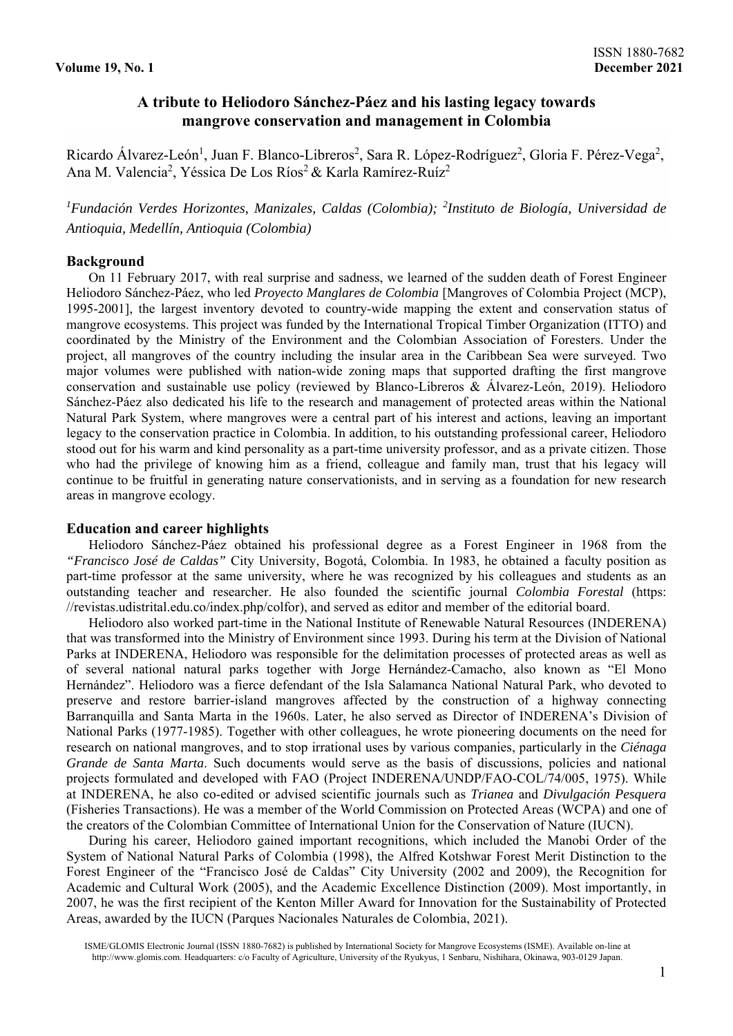# **A tribute to Heliodoro Sánchez-Páez and his lasting legacy towards mangrove conservation and management in Colombia**

Ricardo Álvarez-León<sup>1</sup>, Juan F. Blanco-Libreros<sup>2</sup>, Sara R. López-Rodríguez<sup>2</sup>, Gloria F. Pérez-Vega<sup>2</sup>, Ana M. Valencia<sup>2</sup>, Yéssica De Los Ríos<sup>2</sup> & Karla Ramírez-Ruíz<sup>2</sup>

*1 Fundación Verdes Horizontes, Manizales, Caldas (Colombia); <sup>2</sup> Instituto de Biología, Universidad de Antioquia, Medellín, Antioquia (Colombia)* 

## **Background**

On 11 February 2017, with real surprise and sadness, we learned of the sudden death of Forest Engineer Heliodoro Sánchez-Páez, who led *Proyecto Manglares de Colombia* [Mangroves of Colombia Project (MCP), 1995-2001], the largest inventory devoted to country-wide mapping the extent and conservation status of mangrove ecosystems. This project was funded by the International Tropical Timber Organization (ITTO) and coordinated by the Ministry of the Environment and the Colombian Association of Foresters. Under the project, all mangroves of the country including the insular area in the Caribbean Sea were surveyed. Two major volumes were published with nation-wide zoning maps that supported drafting the first mangrove conservation and sustainable use policy (reviewed by Blanco-Libreros & Álvarez-León, 2019). Heliodoro Sánchez-Páez also dedicated his life to the research and management of protected areas within the National Natural Park System, where mangroves were a central part of his interest and actions, leaving an important legacy to the conservation practice in Colombia. In addition, to his outstanding professional career, Heliodoro stood out for his warm and kind personality as a part-time university professor, and as a private citizen. Those who had the privilege of knowing him as a friend, colleague and family man, trust that his legacy will continue to be fruitful in generating nature conservationists, and in serving as a foundation for new research areas in mangrove ecology.

### **Education and career highlights**

Heliodoro Sánchez-Páez obtained his professional degree as a Forest Engineer in 1968 from the *"Francisco José de Caldas"* City University, Bogotá, Colombia. In 1983, he obtained a faculty position as part-time professor at the same university, where he was recognized by his colleagues and students as an outstanding teacher and researcher. He also founded the scientific journal *Colombia Forestal* (https: //revistas.udistrital.edu.co/index.php/colfor), and served as editor and member of the editorial board.

Heliodoro also worked part-time in the National Institute of Renewable Natural Resources (INDERENA) that was transformed into the Ministry of Environment since 1993. During his term at the Division of National Parks at INDERENA, Heliodoro was responsible for the delimitation processes of protected areas as well as of several national natural parks together with Jorge Hernández-Camacho, also known as "El Mono Hernández". Heliodoro was a fierce defendant of the Isla Salamanca National Natural Park, who devoted to preserve and restore barrier-island mangroves affected by the construction of a highway connecting Barranquilla and Santa Marta in the 1960s. Later, he also served as Director of INDERENA's Division of National Parks (1977-1985). Together with other colleagues, he wrote pioneering documents on the need for research on national mangroves, and to stop irrational uses by various companies, particularly in the *Ciénaga Grande de Santa Marta*. Such documents would serve as the basis of discussions, policies and national projects formulated and developed with FAO (Project INDERENA/UNDP/FAO-COL/74/005, 1975). While at INDERENA, he also co-edited or advised scientific journals such as *Trianea* and *Divulgación Pesquera* (Fisheries Transactions). He was a member of the World Commission on Protected Areas (WCPA) and one of the creators of the Colombian Committee of International Union for the Conservation of Nature (IUCN).

During his career, Heliodoro gained important recognitions, which included the Manobi Order of the System of National Natural Parks of Colombia (1998), the Alfred Kotshwar Forest Merit Distinction to the Forest Engineer of the "Francisco José de Caldas" City University (2002 and 2009), the Recognition for Academic and Cultural Work (2005), and the Academic Excellence Distinction (2009). Most importantly, in 2007, he was the first recipient of the Kenton Miller Award for Innovation for the Sustainability of Protected Areas, awarded by the IUCN (Parques Nacionales Naturales de Colombia, 2021).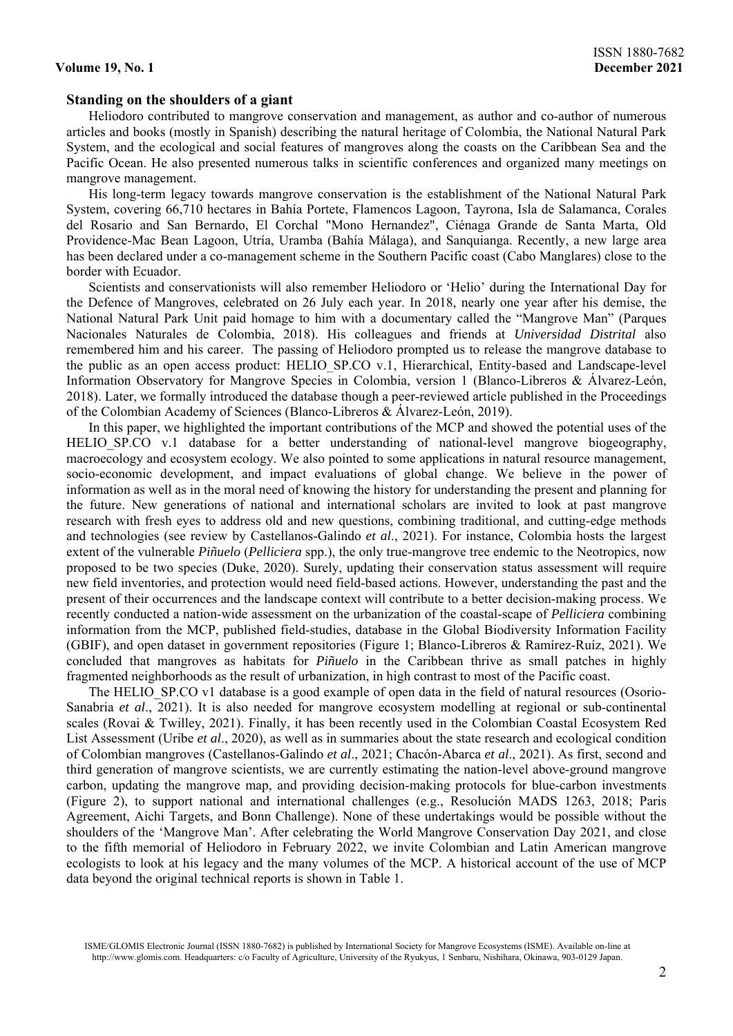#### **Standing on the shoulders of a giant**

Heliodoro contributed to mangrove conservation and management, as author and co-author of numerous articles and books (mostly in Spanish) describing the natural heritage of Colombia, the National Natural Park System, and the ecological and social features of mangroves along the coasts on the Caribbean Sea and the Pacific Ocean. He also presented numerous talks in scientific conferences and organized many meetings on mangrove management.

His long-term legacy towards mangrove conservation is the establishment of the National Natural Park System, covering 66,710 hectares in Bahía Portete, Flamencos Lagoon, Tayrona, Isla de Salamanca, Corales del Rosario and San Bernardo, El Corchal "Mono Hernandez", Ciénaga Grande de Santa Marta, Old Providence-Mac Bean Lagoon, Utría, Uramba (Bahía Málaga), and Sanquianga. Recently, a new large area has been declared under a co-management scheme in the Southern Pacific coast (Cabo Manglares) close to the border with Ecuador.

Scientists and conservationists will also remember Heliodoro or 'Helio' during the International Day for the Defence of Mangroves, celebrated on 26 July each year. In 2018, nearly one year after his demise, the National Natural Park Unit paid homage to him with a documentary called the "Mangrove Man" (Parques Nacionales Naturales de Colombia, 2018). His colleagues and friends at *Universidad Distrital* also remembered him and his career. The passing of Heliodoro prompted us to release the mangrove database to the public as an open access product: HELIO\_SP.CO v.1, Hierarchical, Entity-based and Landscape-level Information Observatory for Mangrove Species in Colombia, version 1 (Blanco-Libreros & Álvarez-León, 2018). Later, we formally introduced the database though a peer-reviewed article published in the Proceedings of the Colombian Academy of Sciences (Blanco-Libreros & Álvarez-León, 2019).

In this paper, we highlighted the important contributions of the MCP and showed the potential uses of the HELIO SP.CO v.1 database for a better understanding of national-level mangrove biogeography, macroecology and ecosystem ecology. We also pointed to some applications in natural resource management, socio-economic development, and impact evaluations of global change. We believe in the power of information as well as in the moral need of knowing the history for understanding the present and planning for the future. New generations of national and international scholars are invited to look at past mangrove research with fresh eyes to address old and new questions, combining traditional, and cutting-edge methods and technologies (see review by Castellanos-Galindo *et al*., 2021). For instance, Colombia hosts the largest extent of the vulnerable *Piñuelo* (*Pelliciera* spp.), the only true-mangrove tree endemic to the Neotropics, now proposed to be two species (Duke, 2020). Surely, updating their conservation status assessment will require new field inventories, and protection would need field-based actions. However, understanding the past and the present of their occurrences and the landscape context will contribute to a better decision-making process. We recently conducted a nation-wide assessment on the urbanization of the coastal-scape of *Pelliciera* combining information from the MCP, published field-studies, database in the Global Biodiversity Information Facility (GBIF), and open dataset in government repositories (Figure 1; Blanco-Libreros & Ramírez-Ruíz, 2021). We concluded that mangroves as habitats for *Piñuelo* in the Caribbean thrive as small patches in highly fragmented neighborhoods as the result of urbanization, in high contrast to most of the Pacific coast.

The HELIO SP.CO v1 database is a good example of open data in the field of natural resources (Osorio-Sanabria *et al*., 2021). It is also needed for mangrove ecosystem modelling at regional or sub-continental scales (Rovai & Twilley, 2021). Finally, it has been recently used in the Colombian Coastal Ecosystem Red List Assessment (Uribe *et al*., 2020), as well as in summaries about the state research and ecological condition of Colombian mangroves (Castellanos-Galindo *et al*., 2021; Chacón-Abarca *et al*., 2021). As first, second and third generation of mangrove scientists, we are currently estimating the nation-level above-ground mangrove carbon, updating the mangrove map, and providing decision-making protocols for blue-carbon investments (Figure 2), to support national and international challenges (e.g., Resolución MADS 1263, 2018; Paris Agreement, Aichi Targets, and Bonn Challenge). None of these undertakings would be possible without the shoulders of the 'Mangrove Man'. After celebrating the World Mangrove Conservation Day 2021, and close to the fifth memorial of Heliodoro in February 2022, we invite Colombian and Latin American mangrove ecologists to look at his legacy and the many volumes of the MCP. A historical account of the use of MCP data beyond the original technical reports is shown in Table 1.

ISME/GLOMIS Electronic Journal (ISSN 1880-7682) is published by International Society for Mangrove Ecosystems (ISME). Available on-line at http://www.glomis.com. Headquarters: c/o Faculty of Agriculture, University of the Ryukyus, 1 Senbaru, Nishihara, Okinawa, 903-0129 Japan.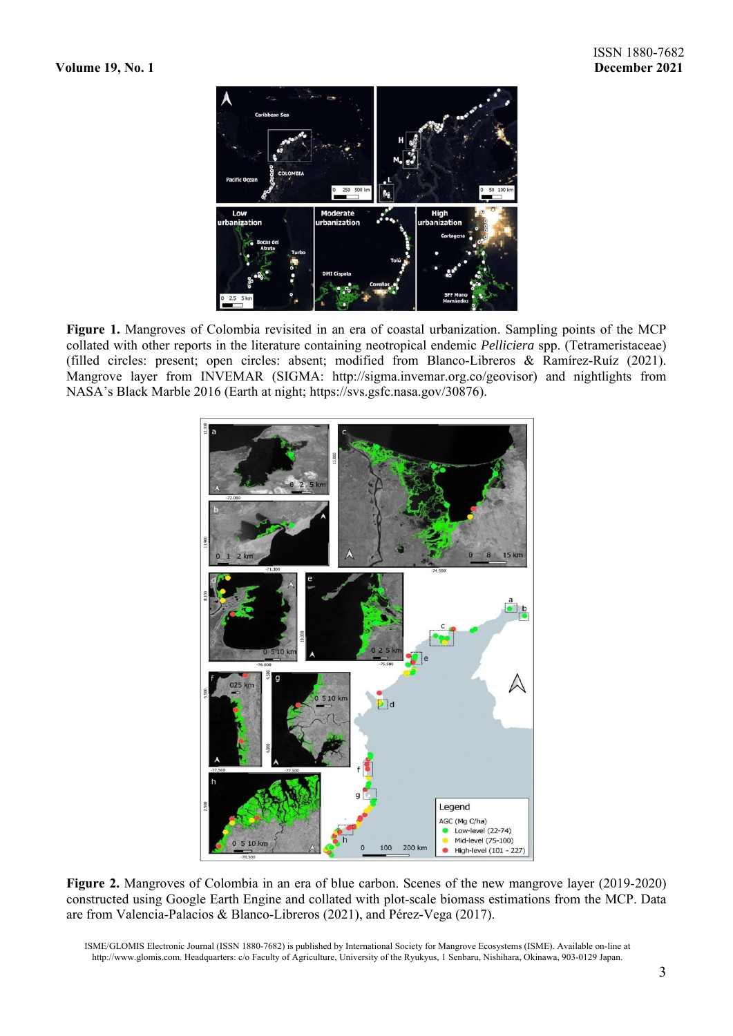

**Figure 1.** Mangroves of Colombia revisited in an era of coastal urbanization. Sampling points of the MCP collated with other reports in the literature containing neotropical endemic *Pelliciera* spp. (Tetrameristaceae) (filled circles: present; open circles: absent; modified from Blanco-Libreros & Ramírez-Ruíz (2021). Mangrove layer from INVEMAR (SIGMA: http://sigma.invemar.org.co/geovisor) and nightlights from NASA's Black Marble 2016 (Earth at night; https://svs.gsfc.nasa.gov/30876).



**Figure 2.** Mangroves of Colombia in an era of blue carbon. Scenes of the new mangrove layer (2019-2020) constructed using Google Earth Engine and collated with plot-scale biomass estimations from the MCP. Data are from Valencia-Palacios & Blanco-Libreros (2021), and Pérez-Vega (2017).

ISME/GLOMIS Electronic Journal (ISSN 1880-7682) is published by International Society for Mangrove Ecosystems (ISME). Available on-line at http://www.glomis.com. Headquarters: c/o Faculty of Agriculture, University of the Ryukyus, 1 Senbaru, Nishihara, Okinawa, 903-0129 Japan.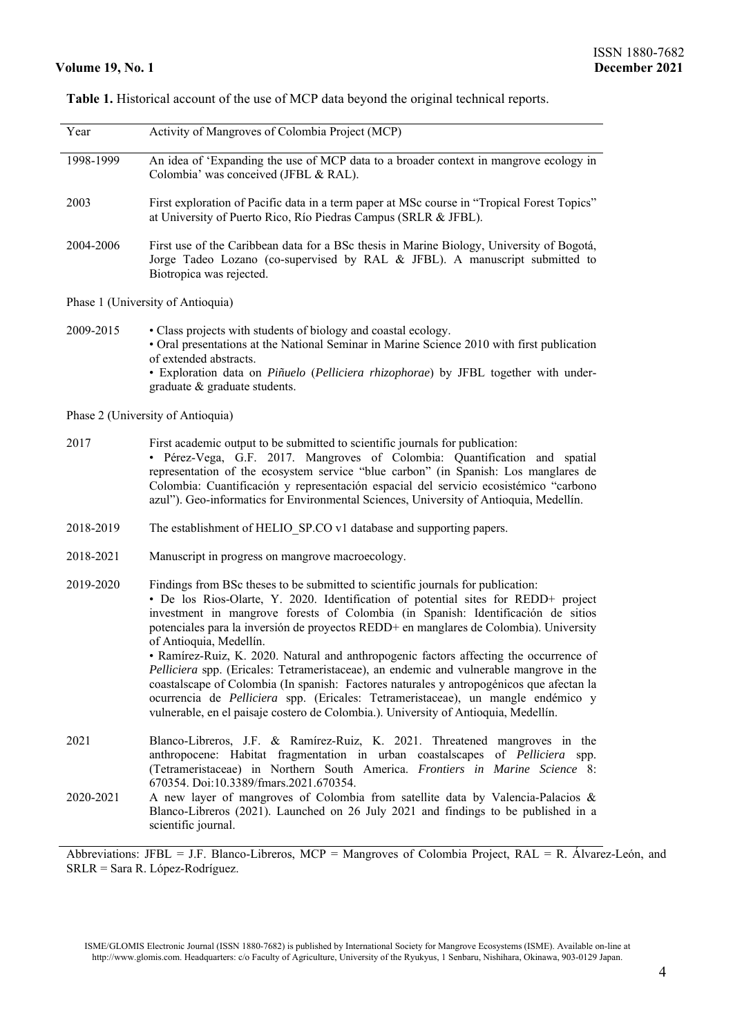**Table 1.** Historical account of the use of MCP data beyond the original technical reports.

| Year              | Activity of Mangroves of Colombia Project (MCP)                                                                                                                                                                                                                                                                                                                                                                                                                                                                                                                                                                                                                                                                                                                                                                                                    |
|-------------------|----------------------------------------------------------------------------------------------------------------------------------------------------------------------------------------------------------------------------------------------------------------------------------------------------------------------------------------------------------------------------------------------------------------------------------------------------------------------------------------------------------------------------------------------------------------------------------------------------------------------------------------------------------------------------------------------------------------------------------------------------------------------------------------------------------------------------------------------------|
| 1998-1999         | An idea of 'Expanding the use of MCP data to a broader context in mangrove ecology in<br>Colombia' was conceived (JFBL & RAL).                                                                                                                                                                                                                                                                                                                                                                                                                                                                                                                                                                                                                                                                                                                     |
| 2003              | First exploration of Pacific data in a term paper at MSc course in "Tropical Forest Topics"<br>at University of Puerto Rico, Río Piedras Campus (SRLR & JFBL).                                                                                                                                                                                                                                                                                                                                                                                                                                                                                                                                                                                                                                                                                     |
| 2004-2006         | First use of the Caribbean data for a BSc thesis in Marine Biology, University of Bogotá,<br>Jorge Tadeo Lozano (co-supervised by RAL & JFBL). A manuscript submitted to<br>Biotropica was rejected.                                                                                                                                                                                                                                                                                                                                                                                                                                                                                                                                                                                                                                               |
|                   | Phase 1 (University of Antioquia)                                                                                                                                                                                                                                                                                                                                                                                                                                                                                                                                                                                                                                                                                                                                                                                                                  |
| 2009-2015         | • Class projects with students of biology and coastal ecology.<br>• Oral presentations at the National Seminar in Marine Science 2010 with first publication<br>of extended abstracts.<br>· Exploration data on Piñuelo (Pelliciera rhizophorae) by JFBL together with under-<br>graduate & graduate students.                                                                                                                                                                                                                                                                                                                                                                                                                                                                                                                                     |
|                   | Phase 2 (University of Antioquia)                                                                                                                                                                                                                                                                                                                                                                                                                                                                                                                                                                                                                                                                                                                                                                                                                  |
| 2017              | First academic output to be submitted to scientific journals for publication:<br>· Pérez-Vega, G.F. 2017. Mangroves of Colombia: Quantification and spatial<br>representation of the ecosystem service "blue carbon" (in Spanish: Los manglares de<br>Colombia: Cuantificación y representación espacial del servicio ecosistémico "carbono<br>azul"). Geo-informatics for Environmental Sciences, University of Antioquia, Medellín.                                                                                                                                                                                                                                                                                                                                                                                                              |
| 2018-2019         | The establishment of HELIO SP.CO v1 database and supporting papers.                                                                                                                                                                                                                                                                                                                                                                                                                                                                                                                                                                                                                                                                                                                                                                                |
| 2018-2021         | Manuscript in progress on mangrove macroecology.                                                                                                                                                                                                                                                                                                                                                                                                                                                                                                                                                                                                                                                                                                                                                                                                   |
| 2019-2020         | Findings from BSc theses to be submitted to scientific journals for publication:<br>• De los Rios-Olarte, Y. 2020. Identification of potential sites for REDD+ project<br>investment in mangrove forests of Colombia (in Spanish: Identificación de sitios<br>potenciales para la inversión de proyectos REDD+ en manglares de Colombia). University<br>of Antioquia, Medellín.<br>• Ramírez-Ruiz, K. 2020. Natural and anthropogenic factors affecting the occurrence of<br><i>Pelliciera</i> spp. (Ericales: Tetrameristaceae), an endemic and vulnerable mangrove in the<br>coastalscape of Colombia (In spanish: Factores naturales y antropogénicos que afectan la<br>ocurrencia de Pelliciera spp. (Ericales: Tetrameristaceae), un mangle endémico y<br>vulnerable, en el paisaje costero de Colombia.). University of Antioquia, Medellín. |
| 2021<br>2020-2021 | Blanco-Libreros, J.F. & Ramírez-Ruiz, K. 2021. Threatened mangroves in the<br>anthropocene: Habitat fragmentation in urban coastalscapes of Pelliciera spp.<br>(Tetrameristaceae) in Northern South America. Frontiers in Marine Science 8:<br>670354. Doi:10.3389/fmars.2021.670354.<br>A new layer of mangroves of Colombia from satellite data by Valencia-Palacios &<br>Blanco-Libreros (2021). Launched on 26 July 2021 and findings to be published in a                                                                                                                                                                                                                                                                                                                                                                                     |
|                   | scientific journal.<br>Abbreviations: JFBL = J.F. Blanco-Libreros, MCP = Mangroves of Colombia Project, RAL = R. Alvarez-León, and                                                                                                                                                                                                                                                                                                                                                                                                                                                                                                                                                                                                                                                                                                                 |
|                   | SRLR = Sara R. López-Rodríguez.                                                                                                                                                                                                                                                                                                                                                                                                                                                                                                                                                                                                                                                                                                                                                                                                                    |

ISME/GLOMIS Electronic Journal (ISSN 1880-7682) is published by International Society for Mangrove Ecosystems (ISME). Available on-line at http://www.glomis.com. Headquarters: c/o Faculty of Agriculture, University of the Ryukyus, 1 Senbaru, Nishihara, Okinawa, 903-0129 Japan.